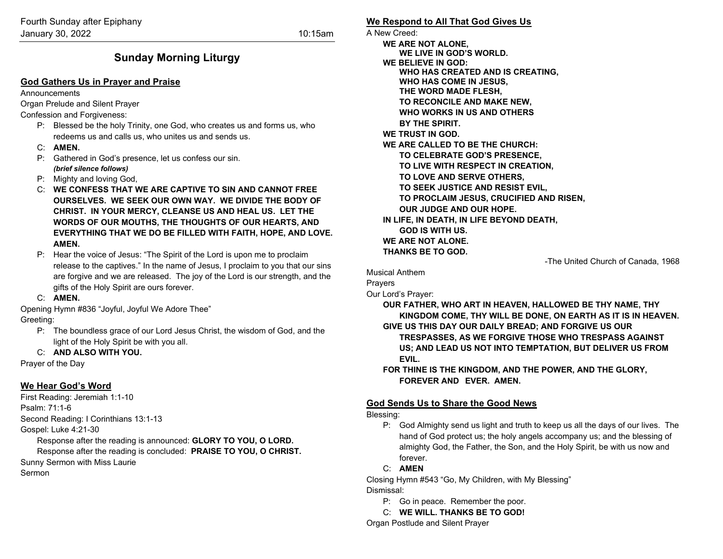# **Sunday Morning Liturgy**

## **God Gathers Us in Prayer and Praise**

Announcements

Organ Prelude and Silent Prayer

Confession and Forgiveness:

- P: Blessed be the holy Trinity, one God, who creates us and forms us, who redeems us and calls us, who unites us and sends us.
- C: **AMEN.**
- P: Gathered in God's presence, let us confess our sin. *(brief silence follows)*
- P: Mighty and loving God,
- C: **WE CONFESS THAT WE ARE CAPTIVE TO SIN AND CANNOT FREE OURSELVES. WE SEEK OUR OWN WAY. WE DIVIDE THE BODY OF CHRIST. IN YOUR MERCY, CLEANSE US AND HEAL US. LET THE WORDS OF OUR MOUTHS, THE THOUGHTS OF OUR HEARTS, AND EVERYTHING THAT WE DO BE FILLED WITH FAITH, HOPE, AND LOVE. AMEN.**
- P: Hear the voice of Jesus: "The Spirit of the Lord is upon me to proclaim release to the captives." In the name of Jesus, I proclaim to you that our sins are forgive and we are released. The joy of the Lord is our strength, and the gifts of the Holy Spirit are ours forever.
- C: **AMEN.**

Opening Hymn #836 "Joyful, Joyful We Adore Thee"

Greeting:

P: The boundless grace of our Lord Jesus Christ, the wisdom of God, and the light of the Holy Spirit be with you all.

## C: **AND ALSO WITH YOU.**

Prayer of the Day

## **We Hear God's Word**

First Reading: Jeremiah 1:1-10 Psalm: 71:1-6 Second Reading: I Corinthians 13:1-13 Gospel: Luke 4:21-30 Response after the reading is announced: **GLORY TO YOU, O LORD.** Response after the reading is concluded: **PRAISE TO YOU, O CHRIST.** Sunny Sermon with Miss Laurie Sermon

## **We Respond to All That God Gives Us** A New Creed: **WE ARE NOT ALONE, WE LIVE IN GOD'S WORLD. WE BELIEVE IN GOD: WHO HAS CREATED AND IS CREATING, WHO HAS COME IN JESUS, THE WORD MADE FLESH, TO RECONCILE AND MAKE NEW, WHO WORKS IN US AND OTHERS BY THE SPIRIT. WE TRUST IN GOD. WE ARE CALLED TO BE THE CHURCH: TO CELEBRATE GOD'S PRESENCE, TO LIVE WITH RESPECT IN CREATION, TO LOVE AND SERVE OTHERS, TO SEEK JUSTICE AND RESIST EVIL, TO PROCLAIM JESUS, CRUCIFIED AND RISEN, OUR JUDGE AND OUR HOPE. IN LIFE, IN DEATH, IN LIFE BEYOND DEATH, GOD IS WITH US. WE ARE NOT ALONE. THANKS BE TO GOD.**

-The United Church of Canada, 1968

Musical Anthem

Prayers

Our Lord's Prayer:

**OUR FATHER, WHO ART IN HEAVEN, HALLOWED BE THY NAME, THY KINGDOM COME, THY WILL BE DONE, ON EARTH AS IT IS IN HEAVEN. GIVE US THIS DAY OUR DAILY BREAD; AND FORGIVE US OUR TRESPASSES, AS WE FORGIVE THOSE WHO TRESPASS AGAINST US; AND LEAD US NOT INTO TEMPTATION, BUT DELIVER US FROM EVIL.**

**FOR THINE IS THE KINGDOM, AND THE POWER, AND THE GLORY, FOREVER AND EVER. AMEN.**

## **God Sends Us to Share the Good News**

Blessing:

P: God Almighty send us light and truth to keep us all the days of our lives. The hand of God protect us; the holy angels accompany us; and the blessing of almighty God, the Father, the Son, and the Holy Spirit, be with us now and forever.

## C: **AMEN**

Closing Hymn #543 "Go, My Children, with My Blessing" Dismissal:

- P: Go in peace. Remember the poor.
- C: **WE WILL. THANKS BE TO GOD!**

Organ Postlude and Silent Prayer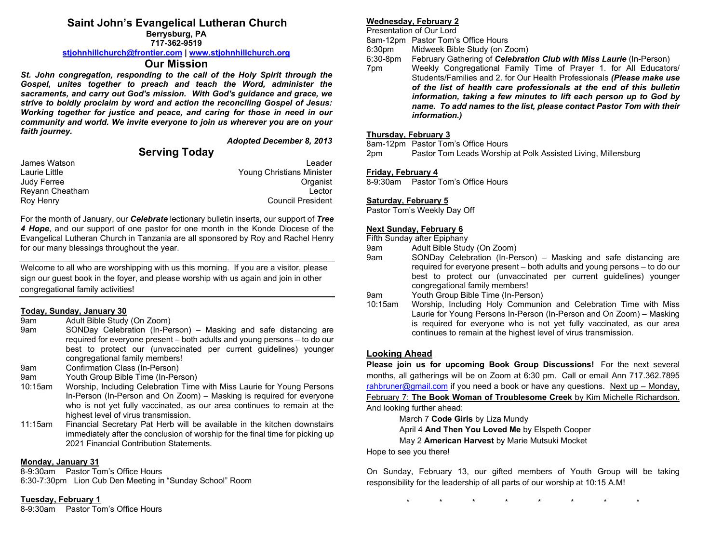## **Saint John's Evangelical Lutheran Church**

**Berrysburg, PA 717-362-9519**

#### **[stjohnhillchurch@frontier.com](mailto:stjohnhillchurch@frontier.com) | [www.stjohnhillchurch.org](http://www.stjohnhillchurch.org/)**

## **Our Mission**

*St. John congregation, responding to the call of the Holy Spirit through the Gospel, unites together to preach and teach the Word, administer the sacraments, and carry out God's mission. With God's guidance and grace, we strive to boldly proclaim by word and action the reconciling Gospel of Jesus: Working together for justice and peace, and caring for those in need in our community and world. We invite everyone to join us wherever you are on your faith journey.*

*Adopted December 8, 2013*

## **Serving Today**

| James Watson    | Leader                    |
|-----------------|---------------------------|
| Laurie Little   | Young Christians Minister |
| Judy Ferree     | Organist                  |
| Reyann Cheatham | Lector                    |
| Roy Henry       | <b>Council President</b>  |

For the month of January, our *Celebrate* lectionary bulletin inserts, our support of *Tree 4 Hope*, and our support of one pastor for one month in the Konde Diocese of the Evangelical Lutheran Church in Tanzania are all sponsored by Roy and Rachel Henry for our many blessings throughout the year.

Welcome to all who are worshipping with us this morning. If you are a visitor, please sign our guest book in the foyer, and please worship with us again and join in other congregational family activities!

#### **Today, Sunday, January 30**

- 9am Adult Bible Study (On Zoom)
- 9am SONDay Celebration (In-Person) Masking and safe distancing are required for everyone present – both adults and young persons – to do our best to protect our (unvaccinated per current guidelines) younger congregational family members!
- 9am Confirmation Class (In-Person)
- 9am Youth Group Bible Time (In-Person)
- 10:15am Worship, Including Celebration Time with Miss Laurie for Young Persons In-Person (In-Person and On Zoom) – Masking is required for everyone who is not yet fully vaccinated, as our area continues to remain at the highest level of virus transmission.
- 11:15am Financial Secretary Pat Herb will be available in the kitchen downstairs immediately after the conclusion of worship for the final time for picking up 2021 Financial Contribution Statements.

#### **Monday, January 31**

8-9:30am Pastor Tom's Office Hours 6:30-7:30pm Lion Cub Den Meeting in "Sunday School" Room

#### **Tuesday, February 1**

8-9:30am Pastor Tom's Office Hours

### **Wednesday, February 2**

Presentation of Our Lord

8am-12pm Pastor Tom's Office Hours

6:30pm Midweek Bible Study (on Zoom)<br>6:30-8pm February Gathering of *Celebrati* February Gathering of *Celebration Club with Miss Laurie* (In-Person)

7pm Weekly Congregational Family Time of Prayer 1. for All Educators/ Students/Families and 2. for Our Health Professionals *(Please make use of the list of health care professionals at the end of this bulletin information, taking a few minutes to lift each person up to God by name. To add names to the list, please contact Pastor Tom with their information.)*

#### **Thursday, February 3**

8am-12pm Pastor Tom's Office Hours 2pm Pastor Tom Leads Worship at Polk Assisted Living, Millersburg

#### **Friday, February 4**

8-9:30am Pastor Tom's Office Hours

#### **Saturday, February 5**

Pastor Tom's Weekly Day Off

#### **Next Sunday, February 6**

#### Fifth Sunday after Epiphany

- 9am Adult Bible Study (On Zoom)
- SONDay Celebration (In-Person) Masking and safe distancing are required for everyone present – both adults and young persons – to do our best to protect our (unvaccinated per current guidelines) younger congregational family members!
- 9am Youth Group Bible Time (In-Person)
- Worship, Including Holy Communion and Celebration Time with Miss Laurie for Young Persons In-Person (In-Person and On Zoom) – Masking is required for everyone who is not yet fully vaccinated, as our area continues to remain at the highest level of virus transmission.

## **Looking Ahead**

**Please join us for upcoming Book Group Discussions!** For the next several months, all gatherings will be on Zoom at 6:30 pm. Call or email Ann 717.362.7895 [rahbruner@gmail.com](mailto:rahbruner@gmail.com) if you need a book or have any questions. Next up  $-$  Monday, February 7: **The Book Woman of Troublesome Creek** by Kim Michelle Richardson. And looking further ahead:

March 7 **Code Girls** by Liza Mundy

April 4 **And Then You Loved Me** by Elspeth Cooper

May 2 **American Harvest** by Marie Mutsuki Mocket

Hope to see you there!

On Sunday, February 13, our gifted members of Youth Group will be taking responsibility for the leadership of all parts of our worship at 10:15 A.M!

\* \* \* \* \* \* \* \*